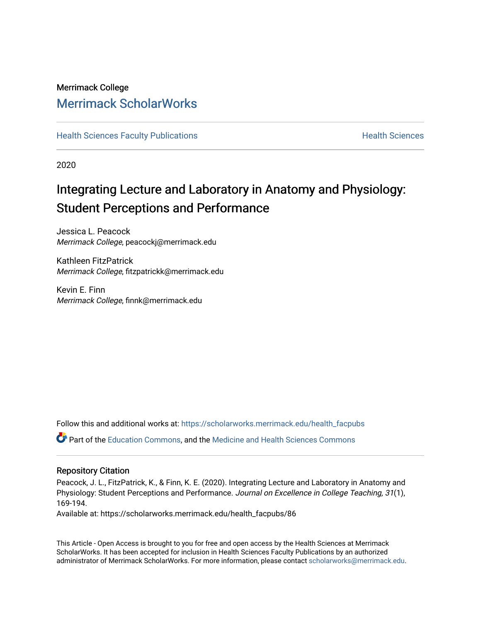# Merrimack College [Merrimack ScholarWorks](https://scholarworks.merrimack.edu/)

**[Health Sciences Faculty Publications](https://scholarworks.merrimack.edu/health_facpubs) Mealth Sciences Health Sciences** Health Sciences

2020

# Integrating Lecture and Laboratory in Anatomy and Physiology: Student Perceptions and Performance

Jessica L. Peacock Merrimack College, peacockj@merrimack.edu

Kathleen FitzPatrick Merrimack College, fitzpatrickk@merrimack.edu

Kevin E. Finn Merrimack College, finnk@merrimack.edu

Follow this and additional works at: [https://scholarworks.merrimack.edu/health\\_facpubs](https://scholarworks.merrimack.edu/health_facpubs?utm_source=scholarworks.merrimack.edu%2Fhealth_facpubs%2F86&utm_medium=PDF&utm_campaign=PDFCoverPages) 

Part of the [Education Commons](http://network.bepress.com/hgg/discipline/784?utm_source=scholarworks.merrimack.edu%2Fhealth_facpubs%2F86&utm_medium=PDF&utm_campaign=PDFCoverPages), and the [Medicine and Health Sciences Commons](http://network.bepress.com/hgg/discipline/648?utm_source=scholarworks.merrimack.edu%2Fhealth_facpubs%2F86&utm_medium=PDF&utm_campaign=PDFCoverPages) 

# Repository Citation

Peacock, J. L., FitzPatrick, K., & Finn, K. E. (2020). Integrating Lecture and Laboratory in Anatomy and Physiology: Student Perceptions and Performance. Journal on Excellence in College Teaching, 31(1), 169-194.

Available at: https://scholarworks.merrimack.edu/health\_facpubs/86

This Article - Open Access is brought to you for free and open access by the Health Sciences at Merrimack ScholarWorks. It has been accepted for inclusion in Health Sciences Faculty Publications by an authorized administrator of Merrimack ScholarWorks. For more information, please contact [scholarworks@merrimack.edu](mailto:scholarworks@merrimack.edu).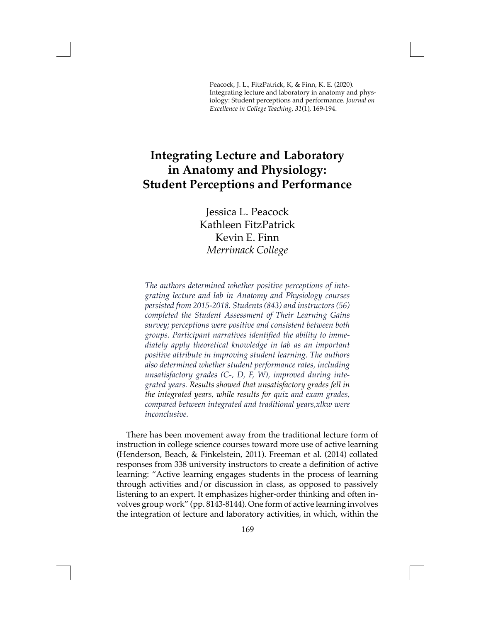Peacock, J. L., FitzPatrick, K, & Finn, K. E. (2020). Integrating lecture and laboratory in anatomy and physiology: Student perceptions and performance. *Journal on Excellence in College Teaching, 31*(1), 169-194.

# **Integrating Lecture and Laboratory in Anatomy and Physiology: Student Perceptions and Performance**

Jessica L. Peacock Kathleen FitzPatrick Kevin E. Finn *Merrimack College*

*The authors determined whether positive perceptions of integrating lecture and lab in Anatomy and Physiology courses persisted from 2015-2018. Students (843) and instructors (56) completed the Student Assessment of Their Learning Gains survey; perceptions were positive and consistent between both groups. Participant narratives identified the ability to immediately apply theoretical knowledge in lab as an important positive attribute in improving student learning. The authors also determined whether student performance rates, including unsatisfactory grades (C-, D, F, W), improved during integrated years. Results showed that unsatisfactory grades fell in the integrated years, while results for quiz and exam grades, compared between integrated and traditional years,xlkw were inconclusive.*

There has been movement away from the traditional lecture form of instruction in college science courses toward more use of active learning (Henderson, Beach, & Finkelstein, 2011). Freeman et al. (2014) collated responses from 338 university instructors to create a definition of active learning: "Active learning engages students in the process of learning through activities and/or discussion in class, as opposed to passively listening to an expert. It emphasizes higher-order thinking and often involves group work" (pp. 8143-8144). One form of active learning involves the integration of lecture and laboratory activities, in which, within the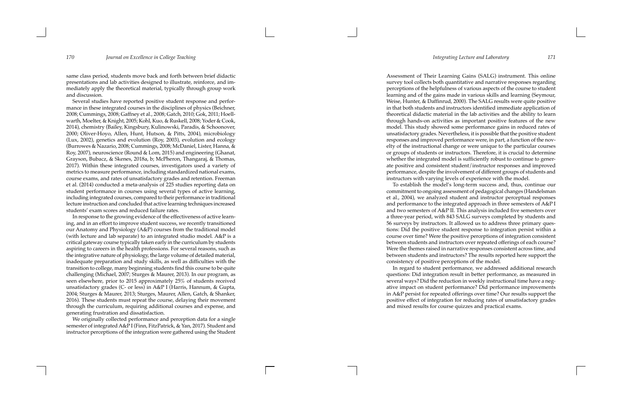same class period, students move back and forth between brief didactic presentations and lab activities designed to illustrate, reinforce, and im mediately apply the theoretical material, typically through group work and discussion.

Several studies have reported positive student response and perfor mance in these integrated courses in the disciplines of physics (Beichner, 2008; Cummings, 2008; Gaffney et al., 2008; Gatch, 2010; Gok, 2011; Hoell warth, Moelter, & Knight, 2005; Kohl, Kuo, & Ruskell, 2008; Yoder & Cook, 2014), chemistry (Bailey, Kingsbury, Kulinowski, Paradis, & Schoonover, 2000; Oliver-Hoyo, Allen, Hunt, Hutson, & Pitts, 2004), microbiology (Lux, 2002), genetics and evolution (Roy, 2003), evolution and ecology (Burrowes & Nazario, 2008; Cummings, 2008; McDaniel, Lister, Hanna, & Roy, 2007), neuroscience (Round & Lom, 2015) and engineering (Ghanat, Grayson, Bubacz, & Skenes, 2018a, b; McPheron, Thangaraj, & Thomas, 2017). Within these integrated courses, investigators used a variety of metrics to measure performance, including standardized national exams, course exams, and rates of unsatisfactory grades and retention. Freeman et al. (2014) conducted a meta-analysis of 225 studies reporting data on student performance in courses using several types of active learning, including integrated courses, compared to their performance in traditional lecture instruction and concluded that active learning techniques increased students' exam scores and reduced failure rates.

In response to the growing evidence of the effectiveness of active learn ing, and in an effort to improve student success, we recently transitioned our Anatomy and Physiology (A&P) courses from the traditional model (with lecture and lab separate) to an integrated studio model. A&P is a critical gateway course typically taken early in the curriculum by students aspiring to careers in the health professions. For several reasons, such as the integrative nature of physiology, the large volume of detailed material, inadequate preparation and study skills, as well as difficulties with the transition to college, many beginning students find this course to be quite challenging (Michael, 2007; Sturges & Maurer, 2013). In our program, as seen elsewhere, prior to 2015 approximately 25% of students received unsatisfactory grades (C- or less) in A&P I (Harris, Hannum, & Gupta, 2004; Sturges & Maurer, 2013; Sturges, Maurer, Allen, Gatch, & Shanker, 2016). These students must repeat the course, delaying their movement through the curriculum, requiring additional courses and expense, and generating frustration and dissatisfaction.

We originally collected performance and perception data for a single semester of integrated A&P I (Finn, FitzPatrick, & Yan, 2017). Student and instructor perceptions of the integration were gathered using the Student

Assessment of Their Learning Gains (SALG) instrument. This online survey tool collects both quantitative and narrative responses regarding perceptions of the helpfulness of various aspects of the course to student learning and of the gains made in various skills and learning (Seymour, Weise, Hunter, & Daffinrud, 2000). The SALG results were quite positive in that both students and instructors identified immediate application of theoretical didactic material in the lab activities and the ability to learn through hands-on activities as important positive features of the new model. This study showed some performance gains in reduced rates of unsatisfactory grades. Nevertheless, it is possible that the positive student responses and improved performance were, in part, a function of the nov elty of the instructional change or were unique to the particular courses or groups of students or instructors. Therefore, it is crucial to determine whether the integrated model is sufficiently robust to continue to gener ate positive and consistent student/instructor responses and improved performance, despite the involvement of different groups of students and instructors with varying levels of experience with the model.

To establish the model's long-term success and, thus, continue our commitment to ongoing assessment of pedagogical changes (Handelsman et al., 2004), we analyzed student and instructor perceptual responses and performance to the integrated approach in three semesters of A&P I and two semesters of A&P II. This analysis included five semesters over a three-year period, with 843 SALG surveys completed by students and 56 surveys by instructors. It allowed us to address three primary ques tions: Did the positive student response to integration persist within a course over time? Were the positive perceptions of integration consistent between students and instructors over repeated offerings of each course? Were the themes raised in narrative responses consistent across time, and between students and instructors? The results reported here support the consistency of positive perceptions of the model.

In regard to student performance, we addressed additional research questions: Did integration result in better performance, as measured in several ways? Did the reduction in weekly instructional time have a neg ative impact on student performance? Did performance improvements in A&P persist for repeated offerings over time? Our results support the positive effect of integration for reducing rates of unsatisfactory grades and mixed results for course quizzes and practical exams.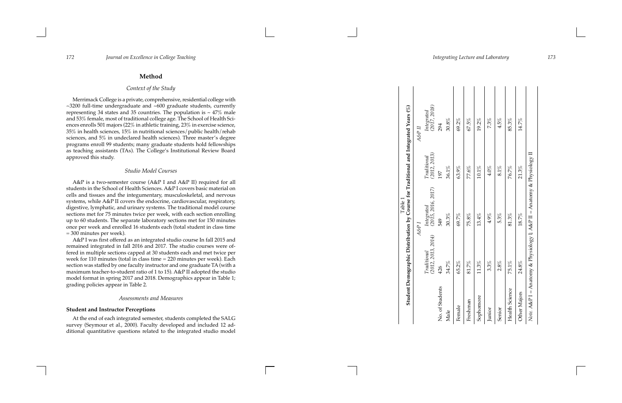# **Method**

# *Context of the Study*

Merrimack College is a private, comprehensive, residential college with ~3200 full-time undergraduate and ~600 graduate students, currently representing 34 states and 35 countries. The population is  $\sim$  47% male and 53% female, most of traditional college age. The School of Health Sci ences enrolls 501 majors (22% in athletic training, 23% in exercise science, 35% in health sciences, 15% in nutritional sciences/public health/rehab sciences, and 5% in undeclared health sciences). Three master's degree programs enroll 99 students; many graduate students hold fellowships as teaching assistants (TAs). The College's Institutional Review Board approved this study.

# *Studio Model Courses*

A&P is a two-semester course (A&P I and A&P II) required for all students in the School of Health Sciences. A&P I covers basic material on cells and tissues and the integumentary, musculoskeletal, and nervous systems, while A&P II covers the endocrine, cardiovascular, respiratory, digestive, lymphatic, and urinary systems. The traditional model course sections met for 75 minutes twice per week, with each section enrolling up to 60 students. The separate laboratory sections met for 150 minutes once per week and enrolled 16 students each (total student in class time = 300 minutes per week).

No. of Students 426 549 197 294 Male  $34.7\%$  30.3% 30.3% 30.3% 30.8%

30.3%

 $7\%$ 426 34.

No. of Students

Male

A&P I was first offered as an integrated studio course In fall 2015 and remained integrated in fall 2016 and 2017. The studio courses were of fered in multiple sections capped at 30 students each and met twice per week for 110 minutes (total in class time = 220 minutes per week). Each section was staffed by one faculty instructor and one graduate TA (with a maximum teacher-to-student ratio of 1 to 15). A&P II adopted the studio model format in spring 2017 and 2018. Demographics appear in Table 1; grading policies appear in Table 2.

### *Assessments and Measures*

### **Student and Instructor Perceptions**

At the end of each integrated semester, students completed the SALG survey (Seymour et al., 2000). Faculty developed and included 12 ad ditional quantitative questions related to the integrated studio model

30.8% 294

 $36.1\%$ 197

*Integrated*  ${\bf Table~1} \label{eq:2.1} {\bf Table~1}$  Student Demographic Distribution by Course for Traditional and Integrated Years (%) *(2017, 2018)* **Student Demographic Distribution by Course for Traditional and Integrated Years (%)**  $A\mathcal{S}P$  II *A&P I A&P II* Traditional<br>(2012, 2013) *(2012, 2013) Traditional Integrated*<br>(2015, 2016, 2017)<br>549 *(2015, 2016, 2017)*  $A\mathcal{S}P$ Traditional<br>(2012, 2013, 2014) *(2012, 2013, 2014) Traditional*

| Female                | 65.2%    | 69.7%   | 63.9%                                                                  | 69.2% |  |
|-----------------------|----------|---------|------------------------------------------------------------------------|-------|--|
| Freshman              | 81.7%    | 75.8%   | 77.6%                                                                  | 67.5% |  |
| Sophomore             | $11.3\%$ | 13.4%   | $10.1\%$                                                               | 19.2% |  |
| Junior                | 3.3%     | $4.9\%$ | $4.0\%$                                                                | 7.3%  |  |
| Senior                | 2.8%     | 5.3%    | $8.1\%$                                                                | 4.5%  |  |
| <b>Health Science</b> | 75.1%    | 81.3%   | 76.7%                                                                  | 85.3% |  |
| <b>Other Majors</b>   | 24.8%    | 18.7%   | 21.3%                                                                  | 14.7% |  |
|                       |          |         | Note. A&P I = Anatomy & Physiology I; A&P II = Anatomy & Physiology II |       |  |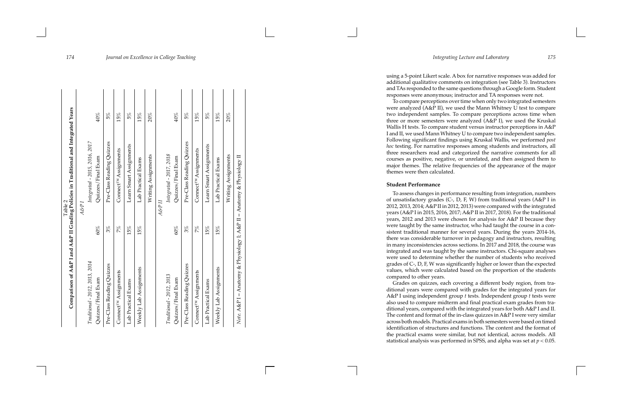using a 5-point Likert scale. A box for narrative responses was added for additional qualitative comments on integration (see Table 3). Instructors and TAs responded to the same questions through a Google form. Student responses were anonymous; instructor and TA responses were not.

To compare perceptions over time when only two integrated semesters were analyzed (A&P II), we used the Mann Whitney U test to compare two independent samples. To compare perceptions across time when three or more semesters were analyzed (A&P I), we used the Kruskal Wallis H tests. To compare student versus instructor perceptions in A&P I and II, we used Mann Whitney U to compare two independent samples. Following significant findings using Kruskal Wallis, we performed *post hoc* testing. For narrative responses among students and instructors, all three researchers read and categorized the narrative comments for all courses as positive, negative, or unrelated, and then assigned them to major themes. The relative frequencies of the appearance of the major themes were then calculated.

# **Student Performance**

To assess changes in performance resulting from integration, numbers of unsatisfactory grades (C-, D, F, W) from traditional years (A&P I in 2012, 2013, 2014; A&P II in 2012, 2013) were compared with the integrated years (A&P I in 2015, 2016, 2017; A&P II in 2017, 2018). For the traditional years, 2012 and 2013 were chosen for analysis for A&P II because they were taught by the same instructor, who had taught the course in a con sistent traditional manner for several years. During the years 2014-16, there was considerable turnover in pedagogy and instructors, resulting in many inconsistencies across sections. In 2017 and 2018, the course was integrated and was taught by the same instructors. Chi-square analyses were used to determine whether the number of students who received grades of C-, D, F, W was significantly higher or lower than the expected values, which were calculated based on the proportion of the students compared to other years.

Grades on quizzes, each covering a different body region, from tra ditional years were compared with grades for the integrated years for A&P I using independent group *t* tests. Independent group *t* tests were also used to compare midterm and final practical exam grades from tra ditional years, compared with the integrated years for both A&P I and II. The content and format of the in-class quizzes in A&P I were very similar across both models. Practical exams in both semesters were based on timed identification of structures and functions. The content and the format of the practical exams were similar, but not identical, across models. All statistical analysis was performed in SPSS, and alpha was set at *p* < 0.05.

|                                                                        |       | Comparison of A&P I and A&P II Grading Policies in Traditional and Integrated Years<br>Table 2 |     |
|------------------------------------------------------------------------|-------|------------------------------------------------------------------------------------------------|-----|
|                                                                        |       | A&P <sub>I</sub>                                                                               |     |
| Traditional - 2012, 2013, 2014                                         |       | Integrated - 2015, 2016, 2017                                                                  |     |
| Quizzes/Final Exam                                                     | 60%   | Quizzes/Final Exam                                                                             | 40% |
| Pre-Class Reading Quizzes                                              | $3\%$ | Pre-Class Reading Quizzes                                                                      | 5%  |
| Connect <sup>TM</sup> Assignments                                      | 7%    | Connect <sup>TM</sup> Assignments                                                              | 15% |
| Lab Practical Exams                                                    | 15%   | Learn Smart Assignments                                                                        | 5%  |
| Weekly Lab Assignments                                                 | 15%   | Lab Practical Exams                                                                            | 15% |
|                                                                        |       | Writing Assignments                                                                            | 20% |
|                                                                        |       | A&P II                                                                                         |     |
| Traditional - 2012, 2013                                               |       | Integrated - 2017, 2018                                                                        |     |
| Quizzes/Final Exam                                                     | 60%   | Quizzes/Final Exam                                                                             | 40% |
| Pre-Class Reading Quizzes                                              | $3\%$ | Pre-Class Reading Quizzes                                                                      | 5%  |
| Connect <sup>TM</sup> Assignments                                      | 7%    | Connect <sup>TM</sup> Assignments                                                              | 15% |
| Lab Practical Exams                                                    | 15%   | Learn Smart Assignments                                                                        | 5%  |
| Weekly Lab Assignments                                                 | 15%   | Lab Practical Exams                                                                            | 15% |
|                                                                        |       | Writing Assignments                                                                            | 20% |
| Note. A&P I = Anatomy & Physiology I; A&P II = Anatomy & Physiology II |       |                                                                                                |     |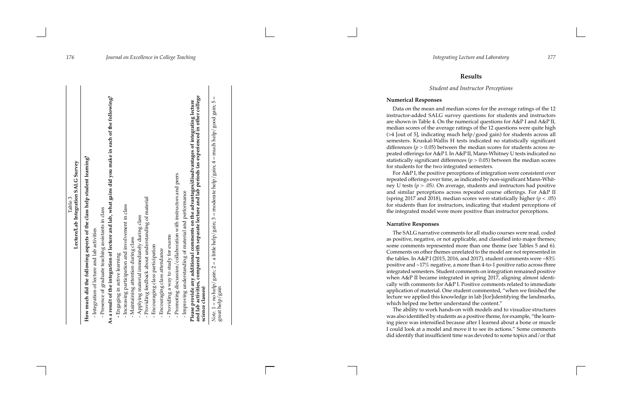# **Results**

# *Student and Instructor Perceptions*

# **Numerical Responses**

Data on the mean and median scores for the average ratings of the 12 instructor-added SALG survey questions for students and instructors are shown in Table 4. On the numerical questions for A&P I and A&P II, median scores of the average ratings of the 12 questions were quite high (>4 [out of 5], indicating much help/good gain) for students across all semesters. Kruskal-Wallis H tests indicated no statistically significant differences ( *p* > 0.05) between the median scores for students across re peated offerings for A&P I. In A&P II, Mann-Whitney U tests indicated no statistically significant differences  $(p > 0.05)$  between the median scores for students for the two integrated semesters.

For A&P I, the positive perceptions of integration were consistent over repeated offerings over time, as indicated by non-significant Mann-Whit ney U tests (*p >* .05*).* On average, students and instructors had positive and similar perceptions across repeated course offerings. For A&P II (spring 2017 and 2018), median scores were statistically higher ( *p* < .05) for students than for instructors, indicating that student perceptions of the integrated model were more positive than instructor perceptions.

# **Narrative Responses**

The SALG narrative comments for all studio courses were read, coded as positive, negative, or not applicable, and classified into major themes; some comments represented more than one theme (see Tables 5 and 6). Comments on other themes unrelated to the model are not represented in the tables. In A&P I (2015, 2016, and 2017), student comments were  $\sim 83\%$ positive and ~17% negative, a more than 4-to-1 positive ratio across three integrated semesters. Student comments on integration remained positive when A&P II became integrated in spring 2017, aligning almost identi cally with comments for A&P I. Positive comments related to immediate application of material. One student commented, "when we finished the lecture we applied this knowledge in lab [for]identifying the landmarks, which helped me better understand the content."

The ability to work hands-on with models and to visualize structures was also identified by students as a positive theme, for example, "the learn ing piece was intensified because after I learned about a bone or muscle I could look at a model and move it to see its actions." Some comments did identify that insufficient time was devoted to some topics and/or that

| How much did the following aspects of the class help student learning?                                                                                                                                                   |
|--------------------------------------------------------------------------------------------------------------------------------------------------------------------------------------------------------------------------|
|                                                                                                                                                                                                                          |
| - Integration of lecture and lab activities                                                                                                                                                                              |
| - Presence of graduate teaching assistants in class                                                                                                                                                                      |
| As a result of the integration of lecture and lab, what gains did you make in each of the following?                                                                                                                     |
| - Engaging in active learning                                                                                                                                                                                            |
| - Increasing participation and involvement in class                                                                                                                                                                      |
| - Maintaining attention during class                                                                                                                                                                                     |
| - Applying material immediately during class                                                                                                                                                                             |
| - Providing feedback about understanding of material                                                                                                                                                                     |
| - Encouraging class participation                                                                                                                                                                                        |
| - Encouraging class attendance                                                                                                                                                                                           |
| - Providing a way to study for exams                                                                                                                                                                                     |
| - Promoting discussion/collaboration with instructors and peers                                                                                                                                                          |
| - Improving understanding of material and performance                                                                                                                                                                    |
| and lab activities, compared with separate lecture and lab periods (as experienced in other college<br>Please provide any additional comments on the advantages/disadvantages of integrating lecture<br>science classes) |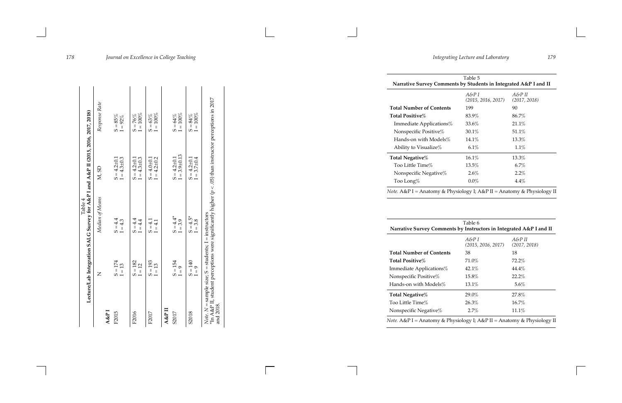|                 |                                                          | Lecture/Lab Integration SALG Survey for A&P I and A&P II (2015, 2016, 2017, 2018)<br>Table 4                 |                    |               |
|-----------------|----------------------------------------------------------|--------------------------------------------------------------------------------------------------------------|--------------------|---------------|
|                 | Z                                                        | Median of Means                                                                                              | M, SD              | Response Rate |
| <b>A&amp;PI</b> |                                                          |                                                                                                              |                    |               |
| F2015           | $S = 174$                                                | $S = 4.4$                                                                                                    | $S = 4.2 \pm 0.1$  | $S = 85\%$    |
|                 | $I = 13$                                                 | $I = 4.3$                                                                                                    | $I = 4.3 \pm 0.3$  | $I=92\%$      |
| F2016           | $S = 182$                                                | $S = 4.4$                                                                                                    | $S = 4.2 \pm 0.1$  | $S = 76%$     |
|                 | $I = 12$                                                 | $l = 4.4$                                                                                                    | $I = 4.3 \pm 0.3$  | $I = 100\%$   |
| F2017           | $S = 193$                                                | $S = 4.1$                                                                                                    | $S = 4.0 \pm 0.1$  | $S = 63%$     |
|                 | $I = 13$                                                 | $I=4.1$                                                                                                      | $I = 4.2 \pm 0.2$  | $I=100\%$     |
| $A & F \Pi$     |                                                          |                                                                                                              |                    |               |
| S2017           | $S = 154$                                                | $S = 4.4*$                                                                                                   | $S = 4.2 \pm 0.1$  | $S = 64\%$    |
|                 | $I = 9$                                                  | $I = 3.9$                                                                                                    | $I = 3.9 \pm 0.13$ | $I=100\%$     |
| S2018           | $S = 140$                                                | $S = 4.5*$                                                                                                   | $S = 4.2 \pm 0.1$  | $S = 84\%$    |
|                 | $l = 9$                                                  | $= 3.8$                                                                                                      | $I = 3.7 \pm 0.4$  | $I=100\%$     |
| and 2018.       | Note. $N =$ sample size; $S =$ students; I = instructors | $*$ In A&P II, student perceptions were significantly higher $(p < .05)$ than instructor perceptions in 2017 |                    |               |

**Total Negative%** Too Little Time% 13.5 Nonspecific Negative%

**Narrative Survey Comments** 

**Total Number of Contents Total Positive**% Immediate Applications% Nonspecific Positive% 15.8 Hands -on with Models% 13.1

**Total Negative**% Too Little Time% Nonspecific Negative%

| Table 5                        |                                                                  |
|--------------------------------|------------------------------------------------------------------|
| $A\&P$ I<br>(2015, 2016, 2017) | $A\&PII$<br>(2017, 2018)                                         |
| 199                            | 90                                                               |
| 83.9%                          | 86.7%                                                            |
| 33.6%                          | 21.1%                                                            |
| 30.1%                          | 51.1%                                                            |
| 14.1%                          | 13.3%                                                            |
| 6.1%                           | 1.1%                                                             |
| 16.1%                          | 13.3%                                                            |
| 13.5%                          | 6.7%                                                             |
| 2.6%                           | $2.2\%$                                                          |
| $0.0\%$                        | 4.4%                                                             |
|                                | Narrative Survey Comments by Students in Integrated A&P I and II |

*Note.* A&P I = Anatomy & Physiology I ; A&P II = Anatomy & Physiology II

| Table 6<br>by Instructors in Integrated A&P I and II |                        |
|------------------------------------------------------|------------------------|
| $A\&P$ I<br>(2015, 2016, 2017)                       | A&P II<br>(2017, 2018) |
| 38                                                   | 18                     |
| 71.0%                                                | 72.2%                  |
| 42.1%                                                | $44.4\%$               |
| $15.8\%$                                             | 22.2%                  |
| 13.1%                                                | 5.6%                   |
| 29.0%                                                | 27.8%                  |
| 26.3%                                                | $16.7\%$               |
| 2.7%                                                 | $11.1\%$               |

*Note.* A&P I = Anatomy & Physiology I; A&P II = Anatomy & Physiology II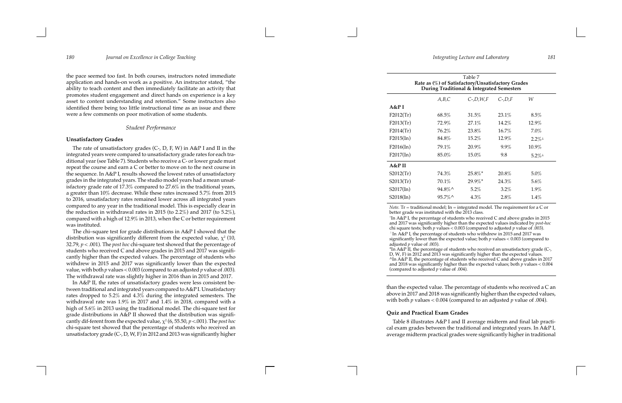the pace seemed too fast. In both courses, instructors noted immediate application and hands-on work as a positive. An instructor stated, "the ability to teach content and then immediately facilitate an activity that promotes student engagement and direct hands on experience is a key asset to content understanding and retention." Some instructors also identified there being too little instructional time as an issue and there were a few comments on poor motivation of some students.

### *Student Performance*

### **Unsatisfactory Grades**

The rate of unsatisfactory grades (C-, D, F, W) in A&P I and II in the integrated years were compared to unsatisfactory grade rates for each tra ditional year (see Table 7). Students who receive a C- or lower grade must repeat the course and earn a C or better to move on to the next course in the sequence. In A&P I, results showed the lowest rates of unsatisfactory grades in the integrated years. The studio model years had a mean unsat isfactory grade rate of 17.3% compared to 27.6% in the traditional years, a greater than 10% decrease. While these rates increased 5.7% from 2015 to 2016, unsatisfactory rates remained lower across all integrated years compared to any year in the traditional model. This is especially clear in the reduction in withdrawal rates in 2015 (to 2.2%) and 2017 (to 5.2%), compared with a high of 12.9% in 2013, when the C or better requirement was instituted.

The chi–square test for grade distributions in A&P I showed that the distribution was significantly different from the expected value,  $\chi^2$  (10, 32.79, *p* < .001). The *post hoc* chi-square test showed that the percentage of students who received C and above grades in 2015 and 2017 was signifi cantly higher than the expected values. The percentage of students who withdrew in 2015 and 2017 was significantly lower than the expected value, with both  $p$  values < 0.003 (compared to an adjusted  $p$  value of .003). The withdrawal rate was slightly higher in 2016 than in 2015 and 2017.

In A&P II, the rates of unsatisfactory grades were less consistent be tween traditional and integrated years compared to A&P I. Unsatisfactory rates dropped to 5.2% and 4.3% during the integrated semesters. The withdrawal rate was 1.9% in 2017 and 1.4% in 2018, compared with a high of 5.6% in 2013 using the traditional model. The chi-square test for grade distributions in A&P II showed that the distribution was signifi cantly dif-ferent from the expected value, χ<sup>2</sup> (6, 55.50,  $p$  <.001). The *post hoc* chi-square test showed that the percentage of students who received an unsatisfactory grade (C-, D, W, F) in 2012 and 2013 was significantly higher

than the expected value. The percentage of students who received a C an above in 2017 and 2018 was significantly higher than the expected values, with both *p* values < 0.004 (compared to an adjusted *p* value of .004).

# **Quiz and Practical Exam Grades**

Table 8 illustrates A&P I and II average midterm and final lab practi cal exam grades between the traditional and integrated years. In A&P I, average midterm practical grades were significantly higher in traditional

|                                                                                                                                            | Rate as (%) of Satisfactory/Unsatisfactory Grades | Table 7<br>During Traditional & Integrated Semesters |                  |         |
|--------------------------------------------------------------------------------------------------------------------------------------------|---------------------------------------------------|------------------------------------------------------|------------------|---------|
|                                                                                                                                            | A,B,C                                             | $C$ -, $D$ , $W$ , $F$                               | $C$ -, $D$ , $F$ | W       |
| A&P I                                                                                                                                      |                                                   |                                                      |                  |         |
| $F2012$ (Tr)                                                                                                                               | 68.5%                                             | 31.5%                                                | 23.1%            | 8.5%    |
| F2013(Tr)                                                                                                                                  | 72.9%                                             | 27.1%                                                | 14.2%            | 12.9%   |
| $F2014$ (Tr)                                                                                                                               | 76.2%                                             | 23.8%                                                | 16.7%            | 7.0%    |
| F2015(In)                                                                                                                                  | $84.8\%$                                          | 15.2%                                                | 12.9%            | $2.2\%$ |
| F2016(In)                                                                                                                                  | 79.1%                                             | 20.9%                                                | 9.9%             | 10.9%   |
| F2017(In)                                                                                                                                  | $85.0\%$                                          | 15.0%                                                | 9.8              | $5.2\%$ |
| A&P II                                                                                                                                     |                                                   |                                                      |                  |         |
| $S2012$ (Tr)                                                                                                                               | 74.3%                                             | $25.8\%$ <sup>*</sup>                                | 20.8%            | 5.0%    |
| S2013(Tr)                                                                                                                                  | 70.1%                                             | 29.9%*                                               | 24.3%            | 5.6%    |
| S2017(In)                                                                                                                                  | 94.8%^                                            | 5.2%                                                 | 3.2%             | 1.9%    |
| S2018(In)                                                                                                                                  | 95.7%^                                            | 4.3%                                                 | 2.8%             | 1.4%    |
| <i>Note.</i> Tr = traditional model; In = integrated model. The requirement for a C or<br>better grade was instituted with the 2013 class. |                                                   |                                                      |                  |         |

better grade was instituted with the 2013 class. <sup>+</sup>In A&P I, the percentage of students who received C and above grades in 2015 and 2017 was significantly higher than the expected values indicated by *post -hoc* chi square tests; both *p* values < 0.003 (compared to adjusted *p* value of .003).  $^{\perp}$ In A&P I, the percentage of students who withdrew in 2015 and 2017 was significantly lower than the expected value ; both *p* values < 0.003 (compared to adjusted *p* value of .003). \*In A&P II, the percentage of students who received an unsatisfactory grade (C -, D, W, F) in 2012 and 2013 was significantly higher than the expected values. ^In A&P II, the percentage of students who received C and above grades in 2017 and 2018 was significantly higher than the expected values; both *p* values < 0.004 (compared to adjusted *p* value of .004).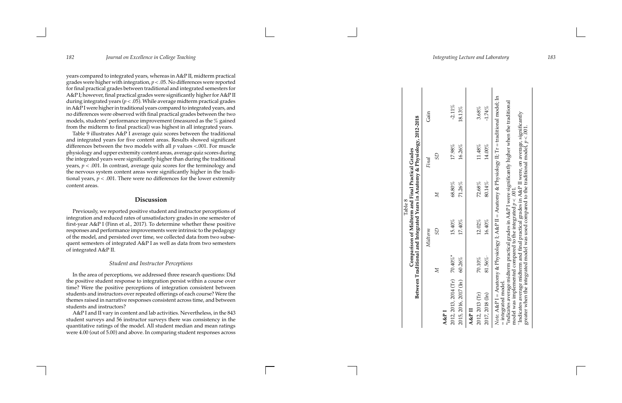years compared to integrated years, whereas in A&P II, midterm practical grades were higher with integration, *p* < .05. No differences were reported for final practical grades between traditional and integrated semesters for A&P I; however, final practical grades were significantly higher for A&P II during integrated years ( *p* < .05). While average midterm practical grades in A&P I were higher in traditional years compared to integrated years, and no differences were observed with final practical grades between the two models, students' performance improvement (measured as the % gained from the midterm to final practical) was highest in all integrated years.

Table 9 illustrates A&P I average quiz scores between the traditional and integrated years for five content areas. Results showed significant differences between the two models with all *p* values <.001. For muscle physiology and upper extremity content areas, average quiz scores during the integrated years were significantly higher than during the traditional years, *p* < .001. In contrast, average quiz scores for the terminology and the nervous system content areas were significantly higher in the tradi tional years,  $p < .001$ . There were no differences for the lower extremity content areas.

# **Discussion**

Previously, we reported positive student and instructor perceptions of integration and reduced rates of unsatisfactory grades in one semester of first-year A&P I (Finn et al., 2017). To determine whether these positive responses and performance improvements were intrinsic to the pedagogy of the model, and persisted over time, we collected data from two subse quent semesters of integrated A&P I as well as data from two semesters of integrated A&P II.

## *Student and Instructor Perceptions*

In the area of perceptions, we addressed three research questions: Did the positive student response to integration persist within a course over time? Were the positive perceptions of integration consistent between students and instructors over repeated offerings of each course? Were the themes raised in narrative responses consistent across time, and between students and instructors?

A&P I and II vary in content and lab activities. Nevertheless, in the 843 student surveys and 56 instructor surveys there was consistency in the quantitative ratings of the model. All student median and mean ratings were 4.00 (out of 5.00) and above. In comparing student responses across

 $\operatorname{Gain}$ *Midterm Final* Gain Table 8<br>Comparison of Midterm and Final Practical Grades<br>Between Traditional and Integrated Years in Anatomy & Physiology, 2012-2018 **Between Traditional and Integrated Years in Anatomy & Physiology, 2012-2018 Comparison of Midterm and Final Practical Grades**   $\rm{G}$ *M SD M SD* Final  $\boldsymbol{\Sigma}$ Midterm  $\mathbb{G}\mathbb{S}$  $\boldsymbol{\Sigma}$ 

**A&P I** 

 $2012, 2013, 2014$  (Tr)  $70.40\%$   $15.40\%$  68.80%  $17.98\%$   $17.98\%$ 

 $15.40\%$ 

 $70.40\%$ 

2012, 2013, 2014 (Tr)

 $68.80\%$ 

 $-2.11\%$ 

 $17.98\%$ 

| 2015, 2016, 2017 (In) 60.26%                                                                                                                                                                                                                                                                                                                                                                                                                                                                       |                  | 17.40%    | 71.26%    | 16.26%    | 18.13%    |  |
|----------------------------------------------------------------------------------------------------------------------------------------------------------------------------------------------------------------------------------------------------------------------------------------------------------------------------------------------------------------------------------------------------------------------------------------------------------------------------------------------------|------------------|-----------|-----------|-----------|-----------|--|
| A&P II                                                                                                                                                                                                                                                                                                                                                                                                                                                                                             |                  |           |           |           |           |  |
| 2012, 2013 (Tr)                                                                                                                                                                                                                                                                                                                                                                                                                                                                                    | 70.10%           | $12.02\%$ | 72.68%    | $11.48\%$ | $3.68\%$  |  |
| 2017, 2018 (In)                                                                                                                                                                                                                                                                                                                                                                                                                                                                                    | $81.56\%$ $^{+}$ | $16.40\%$ | $80.14\%$ | $14.00\%$ | $-1.74\%$ |  |
| Note. A&P I = Anatomy & Physiology I; A&P II = Anatomy & Physiology II; Tr = traditional model; In<br>"indicates average midterm practical grades in A&P I were significantly higher when the traditional<br>"Indicates average midterm and final practical grades in A&P II were, on average, significantly<br>greater when the integrated model was used compared to the traditional model, $p < 0.01$ .<br>model was implemented compared to the integrated $p < .001$ .<br>= integrated model. |                  |           |           |           |           |  |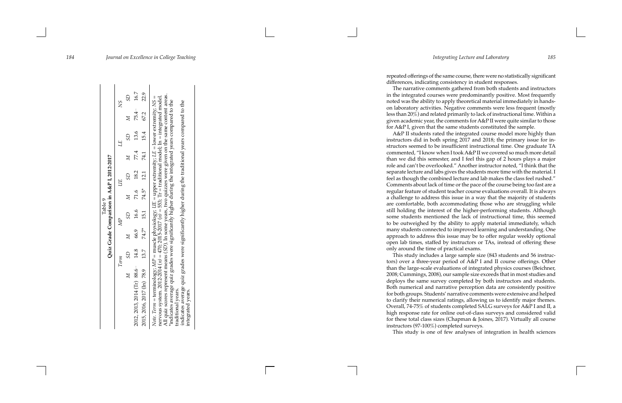repeated offerings of the same course, there were no statistically significant differences, indicating consistency in student responses.

The narrative comments gathered from both students and instructors in the integrated courses were predominantly positive. Most frequently noted was the ability to apply theoretical material immediately in handson laboratory activities. Negative comments were less frequent (mostly less than 20%) and related primarily to lack of instructional time. Within a given academic year, the comments for A&P II were quite similar to those for A&P I, given that the same students constituted the sample.

A&P II students rated the integrated course model more highly than instructors did in both spring 2017 and 2018; the primary issue for in structors seemed to be insufficient instructional time. One graduate TA commented, "I know when I took A&P II we covered so much more detail than we did this semester, and I feel this gap of 2 hours plays a major role and can't be overlooked." Another instructor noted, "I think that the separate lecture and labs gives the students more time with the material. I feel as though the combined lecture and lab makes the class feel rushed." Comments about lack of time or the pace of the course being too fast are a regular feature of student teacher course evaluations overall. It is always a challenge to address this issue in a way that the majority of students are comfortable, both accommodating those who are struggling while still holding the interest of the higher-performing students. Although some students mentioned the lack of instructional time, this seemed to be outweighed by the ability to apply material immediately, which many students connected to improved learning and understanding. One approach to address this issue may be to offer regular weekly optional open lab times, staffed by instructors or TAs, instead of offering these only around the time of practical exams.

This study includes a large sample size (843 students and 56 instruc tors) over a three-year period of A&P I and II course offerings. Other than the large-scale evaluations of integrated physics courses (Beichner, 2008; Cummings, 2008), our sample size exceeds that in most studies and deploys the same survey completed by both instructors and students. Both numerical and narrative perception data are consistently positive for both groups. Students' narrative comments were extensive and helped to clarify their numerical ratings, allowing us to identify major themes. Overall, 74-75% of students completed SALG surveys for A&P I and II, a high response rate for online out-of-class surveys and considered valid for these total class sizes (Chapman & Joines, 2017). Virtually all course instructors (97-100%) completed surveys. This study is one of few analyses of integration in health sciences

|                                                                                                                                                                                                                                                                                                                                                                                                                                                                                                                                                                                                                 |      |              | Table 9        | Quiz Grade Comparison in A&P I, 2012-2017 |      |             |      |             |           |
|-----------------------------------------------------------------------------------------------------------------------------------------------------------------------------------------------------------------------------------------------------------------------------------------------------------------------------------------------------------------------------------------------------------------------------------------------------------------------------------------------------------------------------------------------------------------------------------------------------------------|------|--------------|----------------|-------------------------------------------|------|-------------|------|-------------|-----------|
|                                                                                                                                                                                                                                                                                                                                                                                                                                                                                                                                                                                                                 | Term |              | $\mathbb{Z}^p$ |                                           |      |             | Щ    |             | χS        |
| $\geq$                                                                                                                                                                                                                                                                                                                                                                                                                                                                                                                                                                                                          | SD   | $\mathbb{Z}$ | GS             | $\geq$                                    | GS   | $\boxtimes$ | GS   | $\boxtimes$ | $^{3D}$   |
| $2012, 2013, 2014$ (Tr) 88.6 <sup>**</sup>                                                                                                                                                                                                                                                                                                                                                                                                                                                                                                                                                                      | 14.8 | 66.9         | 16.6           | 71.6                                      | 18.2 | 77.4        | 13.6 |             | 75.4 16.7 |
| 2015, 2016, 2017 (In) 78.9                                                                                                                                                                                                                                                                                                                                                                                                                                                                                                                                                                                      | 13.7 | $74.7*$ 15.1 |                | 74.5*                                     | 12.1 | 74.1        | 15.4 | 67.2        | 22.9      |
| All quiz scores represent means (SD). In some years, two quizzes were given on the same content areas.<br>nervous system. 2012-2014 ( <i>n</i> ) = 470; 2015-2017 ( <i>n</i> ) = 553; Tr = traditional model; In = integrated model.<br>Note. Term = terminology; $M P$ = muscle physiology; $U E$ = upper extremity; $LE$ = lower extremity; $NS$ =<br>"indicates average quiz grades were significantly higher during the integrated years compared to the<br>indicates average quiz grades were significantly higher during the traditional years compared to the<br>traditional years.<br>integrated years. |      |              |                |                                           |      |             |      |             |           |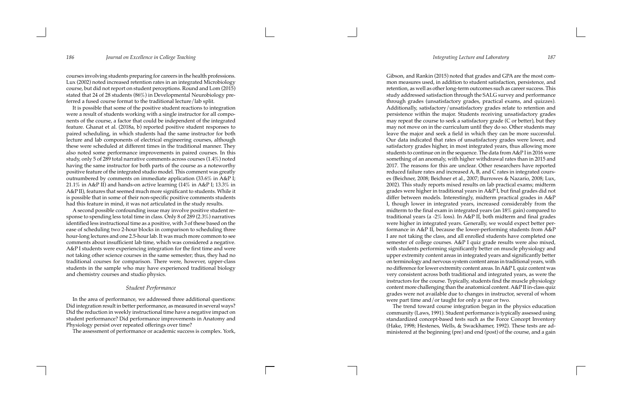courses involving students preparing for careers in the health professions. Lux (2002) noted increased retention rates in an integrated Microbiology course, but did not report on student perceptions. Round and Lom (2015) stated that 24 of 28 students (86%) in Developmental Neurobiology pre ferred a fused course format to the traditional lecture/lab split.

It is possible that some of the positive student reactions to integration were a result of students working with a single instructor for all compo nents of the course, a factor that could be independent of the integrated feature. Ghanat et al. (2018a, b) reported positive student responses to paired scheduling, in which students had the same instructor for both lecture and lab components of electrical engineering courses, although these were scheduled at different times in the traditional manner. They also noted some performance improvements in paired courses. In this study, only 5 of 289 total narrative comments across courses (1.4%) noted having the same instructor for both parts of the course as a noteworthy positive feature of the integrated studio model. This comment was greatly outnumbered by comments on immediate application (33.6% in A&P I; 21.1% in A&P II) and hands-on active learning  $(14\%$  in A&P I; 13.3% in A&P II), features that seemed much more significant to students. While it is possible that in some of their non-specific positive comments students had this feature in mind, it was not articulated in the study results.

A second possible confounding issue may involve positive student re sponse to spending less total time in class. Only 8 of 289 (2.3%) narratives identified less instructional time as a positive, with 3 of these based on the ease of scheduling two 2-hour blocks in comparison to scheduling three hour-long lectures and one 2.5-hour lab. It was much more common to see comments about insufficient lab time, which was considered a negative. A&P I students were experiencing integration for the first time and were not taking other science courses in the same semester; thus, they had no traditional courses for comparison. There were, however, upper-class students in the sample who may have experienced traditional biology and chemistry courses and studio physics.

## *Student Performance*

In the area of performance, we addressed three additional questions: Did integration result in better performance, as measured in several ways? Did the reduction in weekly instructional time have a negative impact on student performance? Did performance improvements in Anatomy and Physiology persist over repeated offerings over time?

The assessment of performance or academic success is complex. York,

Gibson, and Rankin (2015) noted that grades and GPA are the most com mon measures used, in addition to student satisfaction, persistence, and retention, as well as other long-term outcomes such as career success. This study addressed satisfaction through the SALG survey and performance through grades (unsatisfactory grades, practical exams, and quizzes). Additionally, satisfactory/unsatisfactory grades relate to retention and persistence within the major. Students receiving unsatisfactory grades may repeat the course to seek a satisfactory grade (C or better), but they may not move on in the curriculum until they do so. Other students may leave the major and seek a field in which they can be more successful. Our data indicated that rates of unsatisfactory grades were lower, and satisfactory grades higher, in most integrated years, thus allowing more students to continue on in the sequence. The data from A&P I in 2016 were something of an anomaly, with higher withdrawal rates than in 2015 and 2017. The reasons for this are unclear. Other researchers have reported reduced failure rates and increased A, B, and C rates in integrated cours es (Beichner, 2008; Beichner et al., 2007; Burrowes & Nazario, 2008; Lux, 2002). This study reports mixed results on lab practical exams; midterm grades were higher in traditional years in A&P I, but final grades did not differ between models. Interestingly, midterm practical grades in A&P I, though lower in integrated years, increased considerably from the midterm to the final exam in integrated years (an 18% gain) compared to traditional years (a -2% loss). In A&P II, both midterm and final grades were higher in integrated years. Generally, we would expect better per formance in A&P II, because the lower-performing students from A&P I are not taking the class, and all enrolled students have completed one semester of college courses. A&P I quiz grade results were also mixed, with students performing significantly better on muscle physiology and upper extremity content areas in integrated years and significantly better on terminology and nervous system content areas in traditional years, with no difference for lower extremity content areas. In A&P I, quiz content was very consistent across both traditional and integrated years, as were the instructors for the course. Typically, students find the muscle physiology content more challenging than the anatomical content. A&P II in-class quiz grades were not available due to changes in instructor, several of whom were part time and/or taught for only a year or two.

The trend toward course integration began in the physics education community ( Laws, 1991). Student performance is typically assessed using standardized concept-based tests such as the Force Concept Inventory (Hake, 1998 ; Hestenes, Wells, & Swackhamer, 1992). These tests are ad ministered at the beginning (pre) and end (post) of the course, and a gain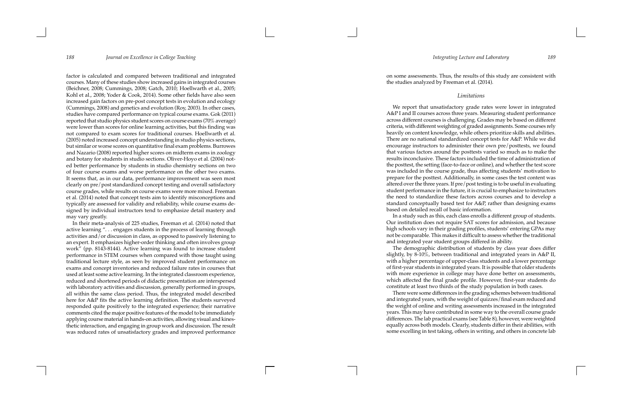factor is calculated and compared between traditional and integrated courses. Many of these studies show increased gains in integrated courses (Beichner, 2008; Cummings, 2008; Gatch, 2010; Hoellwarth et al., 2005; Kohl et al., 2008; Yoder & Cook, 2014). Some other fields have also seen increased gain factors on pre-post concept tests in evolution and ecology (Cummings, 2008) and genetics and evolution (Roy, 2003). In other cases, studies have compared performance on typical course exams. Gok (2011) reported that studio physics student scores on course exams (70% average) were lower than scores for online learning activities, but this finding was not compared to exam scores for traditional courses. Hoellwarth et al. (2005) noted increased concept understanding in studio physics sections, but similar or worse scores on quantitative final exam problems. Burrowes and Nazario (2008) reported higher scores on midterm exams in zoology and botany for students in studio sections. Oliver-Hoyo et al. (2004) not ed better performance by students in studio chemistry sections on two of four course exams and worse performance on the other two exams. It seems that, as in our data, performance improvement was seen most clearly on pre/post standardized concept testing and overall satisfactory course grades, while results on course exams were more mixed. Freeman et al. (2014) noted that concept tests aim to identify misconceptions and typically are assessed for validity and reliability, while course exams de signed by individual instructors tend to emphasize detail mastery and may vary greatly.

In their meta-analysis of 225 studies, Freeman et al. (2014) noted that active learning ". . . engages students in the process of learning through activities and/or discussion in class, as opposed to passively listening to an expert. It emphasizes higher-order thinking and often involves group work" (pp. 8143-8144). Active learning was found to increase student performance in STEM courses when compared with those taught using traditional lecture style, as seen by improved student performance on exams and concept inventories and reduced failure rates in courses that used at least some active learning. In the integrated classroom experience, reduced and shortened periods of didactic presentation are interspersed with laboratory activities and discussion, generally performed in groups, all within the same class period. Thus, the integrated model described here for A&P fits the active learning definition. The students surveyed responded quite positively to the integrated experience; their narrative comments cited the major positive features of the model to be immediately applying course material in hands-on activities, allowing visual and kines thetic interaction, and engaging in group work and discussion. The result was reduced rates of unsatisfactory grades and improved performance

on some assessments. Thus, the results of this study are consistent with the studies analyzed by Freeman et al. (2014).

# *Limitations*

We report that unsatisfactory grade rates were lower in integrated A&P I and II courses across three years. Measuring student performance across different courses is challenging. Grades may be based on different criteria, with different weighting of graded assignments. Some courses rely heavily on content knowledge, while others prioritize skills and abilities. There are no national standardized concept tests for A&P. While we did encourage instructors to administer their own pre/posttests, we found that various factors around the posttests varied so much as to make the results inconclusive. These factors included the time of administration of the posttest, the setting (face-to-face or online), and whether the test score was included in the course grade, thus affecting students' motivation to prepare for the posttest. Additionally, in some cases the test content was altered over the three years. If pre/post testing is to be useful in evaluating student performance in the future, it is crucial to emphasize to instructors the need to standardize these factors across courses and to develop a standard conceptually based test for A&P, rather than designing exams based on detailed recall of basic information.

In a study such as this, each class enrolls a different group of students. Our institution does not require SAT scores for admission, and because high schools vary in their grading profiles, students' entering GPAs may not be comparable. This makes it difficult to assess whether the traditional and integrated year student groups differed in ability.

The demographic distribution of students by class year does differ slightly, by 8-10%, between traditional and integrated years in A&P II, with a higher percentage of upper-class students and a lower percentage of first-year students in integrated years. It is possible that older students with more experience in college may have done better on assessments, which affected the final grade profile. However, first-year students do constitute at least two thirds of the study population in both cases.

There were some differences in the grading schemes between traditional and integrated years, with the weight of quizzes/final exam reduced and the weight of online and writing assessments increased in the integrated years. This may have contributed in some way to the overall course grade differences. The lab practical exams (see Table 8), however, were weighted equally across both models. Clearly, students differ in their abilities, with some excelling in test taking, others in writing, and others in concrete lab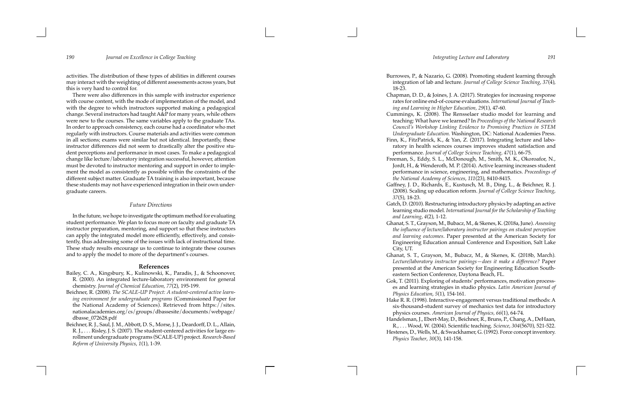activities. The distribution of these types of abilities in different courses may interact with the weighting of different assessments across years, but this is very hard to control for.

There were also differences in this sample with instructor experience with course content, with the mode of implementation of the model, and with the degree to which instructors supported making a pedagogical change. Several instructors had taught A&P for many years, while others were new to the courses. The same variables apply to the graduate TAs. In order to approach consistency, each course had a coordinator who met regularly with instructors. Course materials and activities were common in all sections; exams were similar but not identical. Importantly, these instructor differences did not seem to drastically alter the positive stu dent perceptions and performance in most cases. To make a pedagogical change like lecture/laboratory integration successful, however, attention must be devoted to instructor mentoring and support in order to imple ment the model as consistently as possible within the constraints of the different subject matter. Graduate TA training is also important, because these students may not have experienced integration in their own under graduate careers.

### *Future Directions*

In the future, we hope to investigate the optimum method for evaluating student performance. We plan to focus more on faculty and graduate TA instructor preparation, mentoring, and support so that these instructors can apply the integrated model more efficiently, effectively, and consis tently, thus addressing some of the issues with lack of instructional time. These study results encourage us to continue to integrate these courses and to apply the model to more of the department's courses.

### **References**

- Bailey, C. A., Kingsbury, K., Kulinowski, K., Paradis, J., & Schoonover, R. (2000). An integrated lecture-laboratory environment for general chemistry. *Journal of Chemical Education, 77*(2), 195-199.
- Beichner, R. (2008). *The SCALE-UP Project: A student-centered active learn ing environment for undergraduate programs* (Commissioned Paper for the National Academy of Sciences). Retrieved from https://sites. nationalacademies.org/cs/groups/dbassesite/documents/webpage/ dbasse\_072628.pdf
- Beichner, R. J., Saul, J. M., Abbott, D. S., Morse, J. J., Deardorff, D. L., Allain, R. J., . . . Risley, J. S. (2007). The student-centered activities for large en rollment undergraduate programs (SCALE-UP) project. *Research-Based Reform of University Physics*, *1*(1), 1-39.

Handelsman, J., Ebert-May, D., Beichner, R., Bruns, P., Chang, A., DeHaan, Hestenes, D., Wells, M., & Swackhamer, G. (1992). Force concept inventory.

Burrowes, P., & Nazario, G. (2008). Promoting student learning through integration of lab and lecture. *Journal of College Science Teaching*, *37*(4), 18-23.

Chapman, D. D., & Joines, J. A. (2017). Strategies for increasing response rates for online end-of-course evaluations. *International Journal of Teach ing and Learning in Higher Education, 29*(1), 47-60.

Cummings, K. (2008). The Rensselaer studio model for learning and teaching: What have we learned? In *Proceedings of the National Research Council's Workshop Linking Evidence to Promising Practices in STEM Undergraduate Education.* Washington, DC: National Academies Press. Finn, K., FitzPatrick, K., & Yan, Z. (2017). Integrating lecture and labo ratory in health sciences courses improves student satisfaction and performance. *Journal of College Science Teaching, 47*(1), 66-75.

Freeman, S., Eddy, S. L., McDonough, M., Smith, M. K., Okoroafor, N., Jordt, H., & Wenderoth, M. P. (2014). Active learning increases student performance in science, engineering, and mathematics. *Proceedings of the National Academy of Sciences*, *111*(23), 8410-8415.

Gaffney, J. D., Richards, E., Kustusch, M. B., Ding, L., & Beichner, R. J. (2008). Scaling up education reform. *Journal of College Science Teaching*, *37*(5), 18-23.

Gatch, D. (2010). Restructuring introductory physics by adapting an active learning studio model. *International Journal for the Scholarship of Teaching and Learning*, *4*(2), 1-12.

Ghanat, S. T., Grayson, M., Bubacz, M., & Skenes, K. (2018a, June). *Assessing the influence of lecture/laboratory instructor pairings on student perception and learning outcomes* . Paper presented at the American Society for Engineering Education annual Conference and Exposition, Salt Lake City, UT.

Ghanat, S. T., Grayson, M., Bubacz, M., & Skenes, K. (2018b, March). *Lecture/laboratory instructor pairings—does it make a difference?* Paper presented at the American Society for Engineering Education South eastern Section Conference, Daytona Beach, FL.

Gok, T. (2011). Exploring of students' performances, motivation process es and learning strategies in studio physics. *Latin American Journal of Physics Education*, *5*(1), 154-161.

Hake R. R. (1998). Interactive-engagement versus traditional methods: A six-thousand-student survey of mechanics test data for introductory physics courses. *American Journal of Physics, 66*(1), 64-74.

R., . . . Wood, W. (2004). Scientific teaching. *Science*, *304*(5670), 521-522. *Physics Teacher*, *30*(3), 141-158.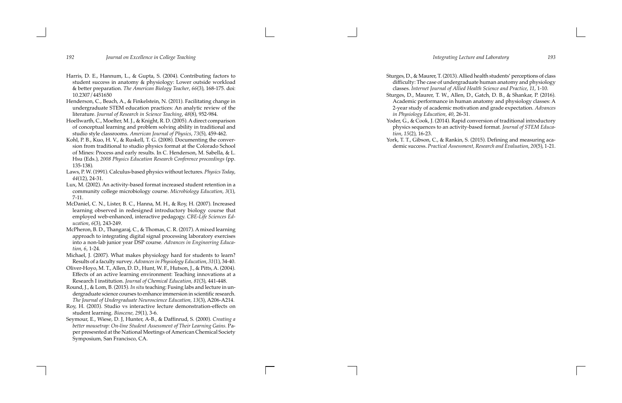- Harris, D. E., Hannum, L., & Gupta, S. (2004). Contributing factors to student success in anatomy & physiology: Lower outside workload & better preparation. *The American Biology Teacher*, *66*(3), 168-175. doi: 10.2307/4451650
- Henderson, C., Beach, A., & Finkelstein, N. (2011). Facilitating change in undergraduate STEM education practices: An analytic review of the literature. *Journal of Research in Science Teaching* , *48*(8), 952-984.
- Hoellwarth, C., Moelter, M. J., & Knight, R. D. (2005). A direct comparison of conceptual learning and problem solving ability in traditional and studio style classrooms. *American Journal of Physics*, *73*(5), 459-462.
- Kohl, P. B., Kuo, H. V., & Ruskell, T. G. (2008). Documenting the conver sion from traditional to studio physics format at the Colorado School of Mines: Process and early results. In C. Henderson, M. Sabella, & L. Hsu (Eds.), *2008 Physics Education Research Conference proceedings* (pp. 135-138) *.*
- Laws, P. W. (1991). Calculus-based physics without lectures. *Physics Today*, *44*(12), 24-31.
- Lux, M. (2002). An activity-based format increased student retention in a community college microbiology course. *Microbiology Education*, *3*(1), 7-11.
- McDaniel, C. N., Lister, B. C., Hanna, M. H., & Roy, H. (2007). Increased learning observed in redesigned introductory biology course that employed web-enhanced, interactive pedagogy. *CBE-Life Sciences Ed ucation*, *6*(3), 243-249.
- McPheron, B. D., Thangaraj, C., & Thomas, C. R. (2017). A mixed learning approach to integrating digital signal processing laboratory exercises into a non-lab junior year DSP course*. Advances in Engineering Educa tion, 6*, 1-24.
- Michael, J. (2007). What makes physiology hard for students to learn? Results of a faculty survey. *Advances in Physiology Education*, *31*(1), 34-40.
- Oliver-Hoyo, M. T., Allen, D. D., Hunt, W. F., Hutson, J., & Pitts, A. (2004). Effects of an active learning environment: Teaching innovations at a Research I institution. *Journal of Chemical Education, 81*(3), 441-448.
- Round, J., & Lom, B. (2015). *In situ* teaching: Fusing labs and lecture in un dergraduate science courses to enhance immersion in scientific research. *The Journal of Undergraduate Neuroscience Education, 13*(3), A206-A214.
- Roy, H. (2003). Studio vs interactive lecture demonstration-effects on student learning. *Bioscene, 29*(1), 3-6.
- Seymour, E., Wiese, D. J, Hunter, A-B., & Daffinrud, S. (2000). *Creating a*  better mousetrap: On-line Student Assessment of Their Learning Gains. Paper presesnted at the National Meetings of American Chemical Society Symposium, San Francisco, CA.

Sturges, D., & Maurer, T. (2013). Allied health students' perceptions of class difficulty: The case of undergraduate human anatomy and physiology classes. *Internet Journal of Allied Health Science and Practice*, *11*, 1-10. Sturges, D., Maurer, T. W., Allen, D., Gatch, D. B., & Shankar, P. (2016). Academic performance in human anatomy and physiology classes: A 2-year study of academic motivation and grade expectation. *Advances in Physiology Education*, *40*, 26-31. Yoder, G., & Cook, J. (2014). Rapid conversion of traditional introductory physics sequences to an activity-based format. *Journal of STEM Educa tion*, *15*(2), 16-23. York, T. T., Gibson, C., & Rankin, S. (2015). Defining and measuring aca demic success. *Practical Assessment, Research and Evaluation*, *20*(5), 1-21.